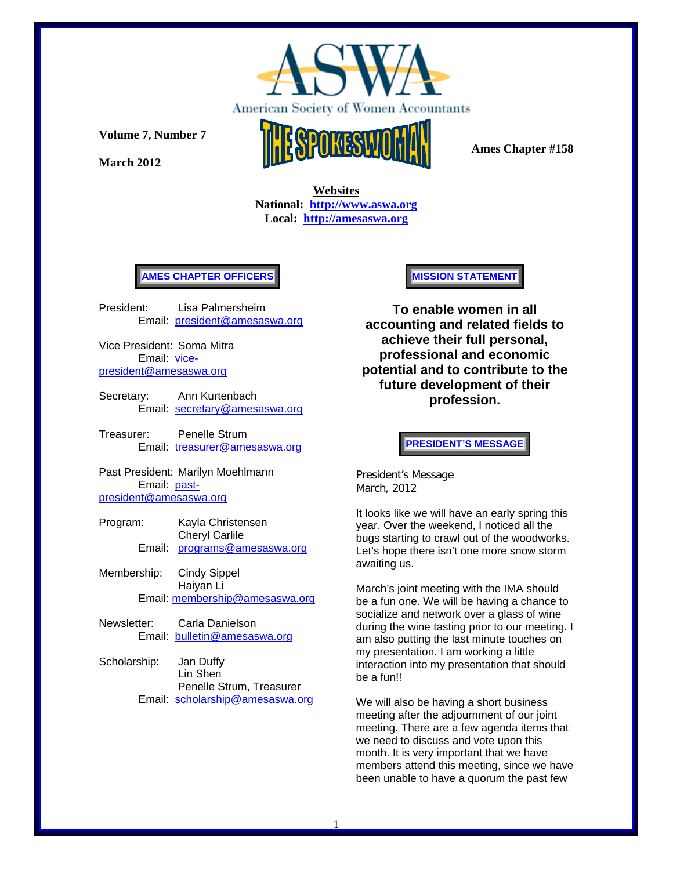

**March 2012** 



 **Ames Chapter #158** 

 **Websites National: http://www.aswa.org Local: http://amesaswa.org**

### **AMES CHAPTER OFFICERS**

President: Lisa Palmersheim Email: president@amesaswa.org

Vice President: Soma Mitra Email: vicepresident@amesaswa.org

- Secretary: Ann Kurtenbach Email: secretary@amesaswa.org
- Treasurer: Penelle Strum Email: treasurer@amesaswa.org

Past President: Marilyn Moehlmann Email: pastpresident@amesaswa.org

- Program: Kayla Christensen Cheryl Carlile Email: programs@amesaswa.org
- Membership: Cindy Sippel Haiyan Li Email: membership@amesaswa.org
- Newsletter: Carla Danielson Email: bulletin@amesaswa.org
- Scholarship: Jan Duffy Lin Shen Penelle Strum, Treasurer Email: scholarship@amesaswa.org

#### **MISSION STATEMENT**

**To enable women in all accounting and related fields to achieve their full personal, professional and economic potential and to contribute to the future development of their profession.**

**PRESIDENT'S MESSAGE** 

President's Message March, 2012

It looks like we will have an early spring this year. Over the weekend, I noticed all the bugs starting to crawl out of the woodworks. Let's hope there isn't one more snow storm awaiting us.

March's joint meeting with the IMA should be a fun one. We will be having a chance to socialize and network over a glass of wine during the wine tasting prior to our meeting. I am also putting the last minute touches on my presentation. I am working a little interaction into my presentation that should be a fun!!

We will also be having a short business meeting after the adjournment of our joint meeting. There are a few agenda items that we need to discuss and vote upon this month. It is very important that we have members attend this meeting, since we have been unable to have a quorum the past few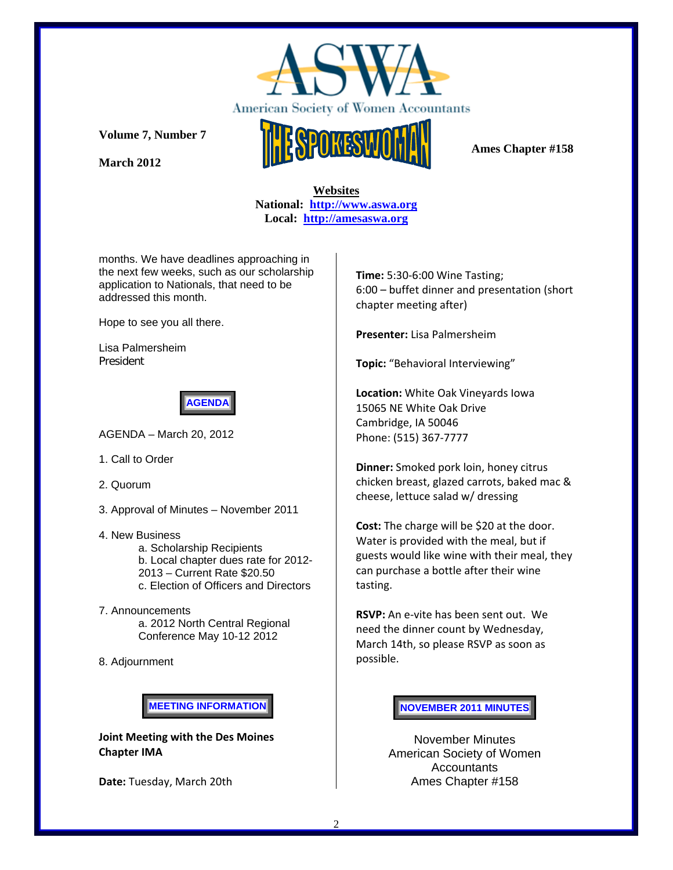

**March 2012** 



 **Websites National: http://www.aswa.org Local: http://amesaswa.org**

months. We have deadlines approaching in the next few weeks, such as our scholarship application to Nationals, that need to be addressed this month.

Hope to see you all there.

Lisa Palmersheim President



AGENDA – March 20, 2012

- 1. Call to Order
- 2. Quorum
- 3. Approval of Minutes November 2011
- 4. New Business

 a. Scholarship Recipients b. Local chapter dues rate for 2012- 2013 – Current Rate \$20.50 c. Election of Officers and Directors

- 7. Announcements a. 2012 North Central Regional Conference May 10-12 2012
- 8. Adjournment

**MEETING INFORMATION** 

**Joint Meeting with the Des Moines Chapter IMA**

Date: Tuesday, March 20th

**Time:** 5:30‐6:00 Wine Tasting; 6:00 – buffet dinner and presentation (short chapter meeting after)

**Presenter:** Lisa Palmersheim

**Topic:** "Behavioral Interviewing"

**Location:** White Oak Vineyards Iowa 15065 NE White Oak Drive Cambridge, IA 50046 Phone: (515) 367‐7777

**Dinner:** Smoked pork loin, honey citrus chicken breast, glazed carrots, baked mac & cheese, lettuce salad w/ dressing

**Cost:** The charge will be \$20 at the door. Water is provided with the meal, but if guests would like wine with their meal, they can purchase a bottle after their wine tasting.

**RSVP:** An e‐vite has been sent out. We need the dinner count by Wednesday, March 14th, so please RSVP as soon as possible.

**NOVEMBER 2011 MINUTES**

November Minutes American Society of Women Accountants Ames Chapter #158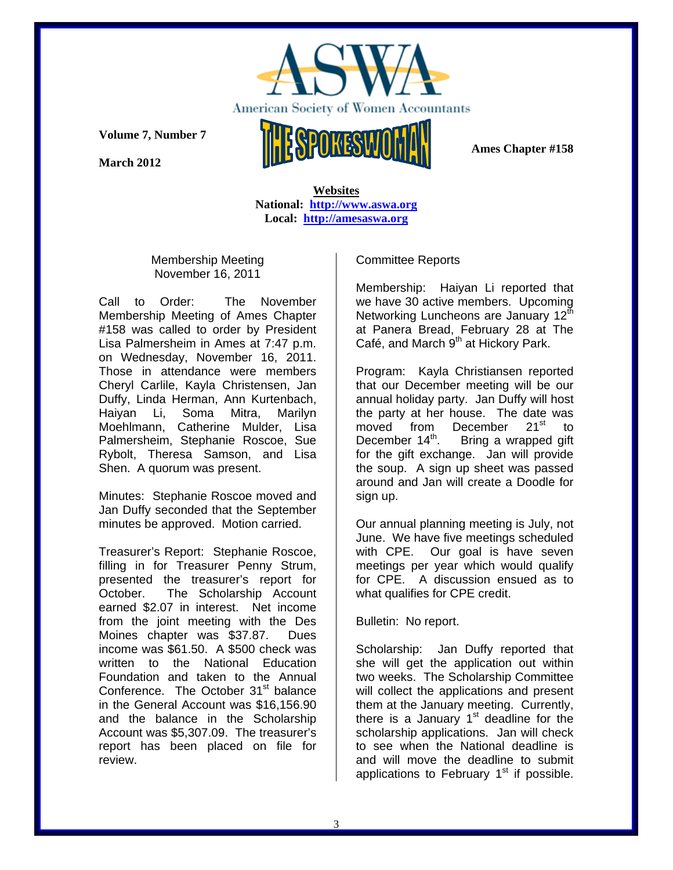

**March 2012** 



 **Ames Chapter #158** 

 **Websites National: http://www.aswa.org Local: http://amesaswa.org**

Membership Meeting November 16, 2011

Call to Order: The November Membership Meeting of Ames Chapter #158 was called to order by President Lisa Palmersheim in Ames at 7:47 p.m. on Wednesday, November 16, 2011. Those in attendance were members Cheryl Carlile, Kayla Christensen, Jan Duffy, Linda Herman, Ann Kurtenbach, Haiyan Li, Soma Mitra, Marilyn Moehlmann, Catherine Mulder, Lisa Palmersheim, Stephanie Roscoe, Sue Rybolt, Theresa Samson, and Lisa Shen. A quorum was present.

Minutes: Stephanie Roscoe moved and Jan Duffy seconded that the September minutes be approved. Motion carried.

Treasurer's Report: Stephanie Roscoe, filling in for Treasurer Penny Strum, presented the treasurer's report for October. The Scholarship Account earned \$2.07 in interest. Net income from the joint meeting with the Des Moines chapter was \$37.87. Dues income was \$61.50. A \$500 check was written to the National Education Foundation and taken to the Annual Conference. The October 31<sup>st</sup> balance in the General Account was \$16,156.90 and the balance in the Scholarship Account was \$5,307.09. The treasurer's report has been placed on file for review.

Committee Reports

Membership: Haiyan Li reported that we have 30 active members. Upcoming Networking Luncheons are January  $12^{\text{th}}$ at Panera Bread, February 28 at The Café, and March 9<sup>th</sup> at Hickory Park.

Program: Kayla Christiansen reported that our December meeting will be our annual holiday party. Jan Duffy will host the party at her house. The date was moved from December 21<sup>st</sup> to December  $14<sup>th</sup>$ . Bring a wrapped gift for the gift exchange. Jan will provide the soup. A sign up sheet was passed around and Jan will create a Doodle for sign up.

Our annual planning meeting is July, not June. We have five meetings scheduled with CPE. Our goal is have seven meetings per year which would qualify for CPE. A discussion ensued as to what qualifies for CPE credit.

Bulletin: No report.

Scholarship: Jan Duffy reported that she will get the application out within two weeks. The Scholarship Committee will collect the applications and present them at the January meeting. Currently, there is a January  $1<sup>st</sup>$  deadline for the scholarship applications. Jan will check to see when the National deadline is and will move the deadline to submit applications to February  $1<sup>st</sup>$  if possible.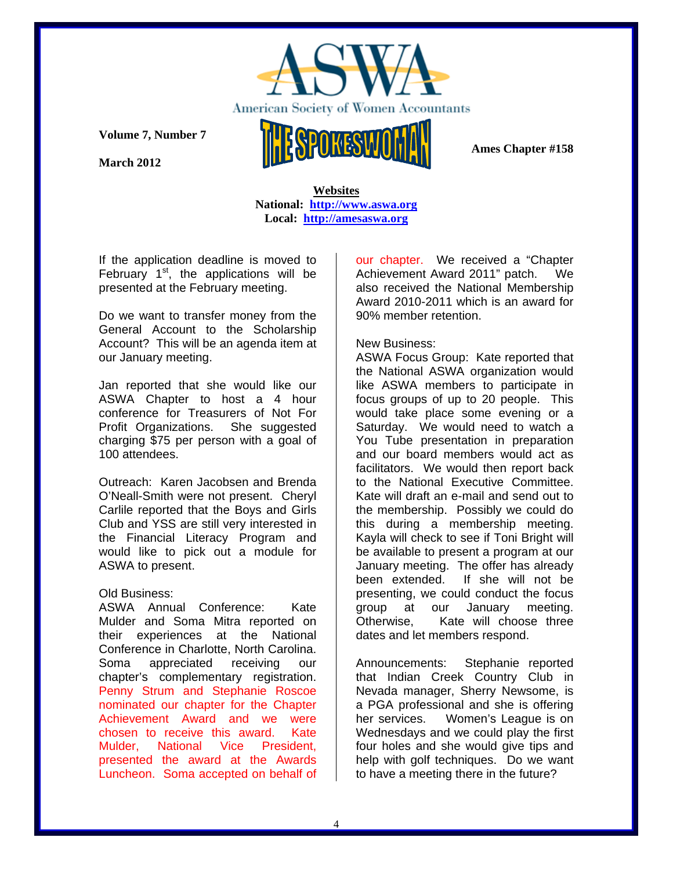

**March 2012** 



 **Ames Chapter #158** 

## **Websites National: http://www.aswa.org Local: http://amesaswa.org**

If the application deadline is moved to February  $1<sup>st</sup>$ , the applications will be presented at the February meeting.

Do we want to transfer money from the General Account to the Scholarship Account? This will be an agenda item at our January meeting.

Jan reported that she would like our ASWA Chapter to host a 4 hour conference for Treasurers of Not For Profit Organizations. She suggested charging \$75 per person with a goal of 100 attendees.

Outreach: Karen Jacobsen and Brenda O'Neall-Smith were not present. Cheryl Carlile reported that the Boys and Girls Club and YSS are still very interested in the Financial Literacy Program and would like to pick out a module for ASWA to present.

## Old Business:

ASWA Annual Conference: Kate Mulder and Soma Mitra reported on their experiences at the National Conference in Charlotte, North Carolina. Soma appreciated receiving our chapter's complementary registration. Penny Strum and Stephanie Roscoe nominated our chapter for the Chapter Achievement Award and we were chosen to receive this award. Kate Mulder, National Vice President, presented the award at the Awards Luncheon. Soma accepted on behalf of

our chapter. We received a "Chapter Achievement Award 2011" patch. We also received the National Membership Award 2010-2011 which is an award for 90% member retention.

# New Business:

ASWA Focus Group: Kate reported that the National ASWA organization would like ASWA members to participate in focus groups of up to 20 people. This would take place some evening or a Saturday. We would need to watch a You Tube presentation in preparation and our board members would act as facilitators. We would then report back to the National Executive Committee. Kate will draft an e-mail and send out to the membership. Possibly we could do this during a membership meeting. Kayla will check to see if Toni Bright will be available to present a program at our January meeting. The offer has already been extended. If she will not be presenting, we could conduct the focus group at our January meeting. Otherwise, Kate will choose three dates and let members respond.

Announcements: Stephanie reported that Indian Creek Country Club in Nevada manager, Sherry Newsome, is a PGA professional and she is offering her services. Women's League is on Wednesdays and we could play the first four holes and she would give tips and help with golf techniques. Do we want to have a meeting there in the future?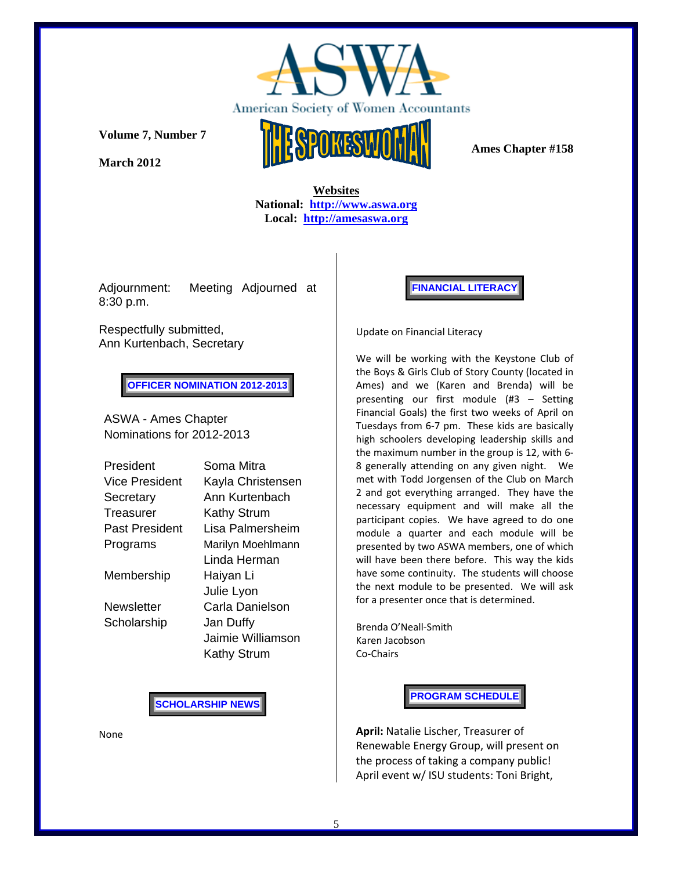

**March 2012** 



 **Websites National: http://www.aswa.org Local: http://amesaswa.org**

Adjournment: Meeting Adjourned at 8:30 p.m.

Respectfully submitted, Ann Kurtenbach, Secretary

**OFFICER NOMINATION 2012-2013** 

ASWA - Ames Chapter Nominations for 2012-2013

| President      | Soma Mitra         |
|----------------|--------------------|
| Vice President | Kayla Christensen  |
| Secretary      | Ann Kurtenbach     |
| Treasurer      | Kathy Strum        |
| Past President | Lisa Palmersheim   |
| Programs       | Marilyn Moehlmann  |
|                | Linda Herman       |
| Membership     | Haiyan Li          |
|                | Julie Lyon         |
| Newsletter     | Carla Danielson    |
| Scholarship    | Jan Duffy          |
|                | Jaimie Williamson  |
|                | <b>Kathy Strum</b> |

**SCHOLARSHIP NEWS** 

None

**FINANCIAL LITERACY** 

Update on Financial Literacy

We will be working with the Keystone Club of the Boys & Girls Club of Story County (located in Ames) and we (Karen and Brenda) will be presenting our first module (#3 – Setting Financial Goals) the first two weeks of April on Tuesdays from 6‐7 pm. These kids are basically high schoolers developing leadership skills and the maximum number in the group is 12, with 6‐ 8 generally attending on any given night. We met with Todd Jorgensen of the Club on March 2 and got everything arranged. They have the necessary equipment and will make all the participant copies. We have agreed to do one module a quarter and each module will be presented by two ASWA members, one of which will have been there before. This way the kids have some continuity. The students will choose the next module to be presented. We will ask for a presenter once that is determined.

Brenda O'Neall‐Smith Karen Jacobson Co‐Chairs

**PROGRAM SCHEDULE** 

**April:** Natalie Lischer, Treasurer of Renewable Energy Group, will present on the process of taking a company public! April event w/ ISU students: Toni Bright,